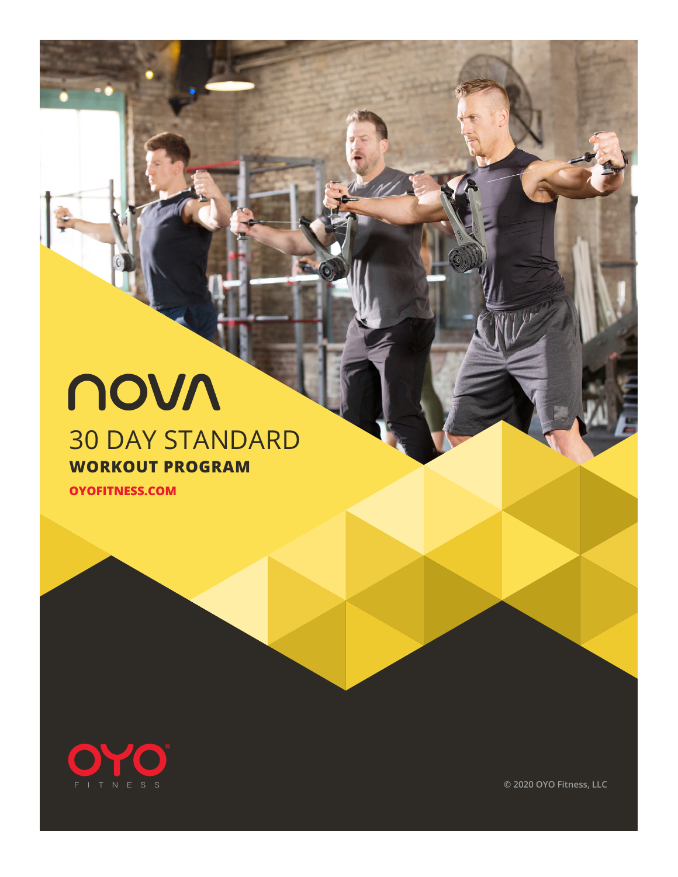# novn 30 DAY STANDARD

#### **WORKOUT PROGRAM**

28 DAY BEGINNER PROGRAM **OYOFITNESS.COM**



**© 2020 OYO Fitness, LLC**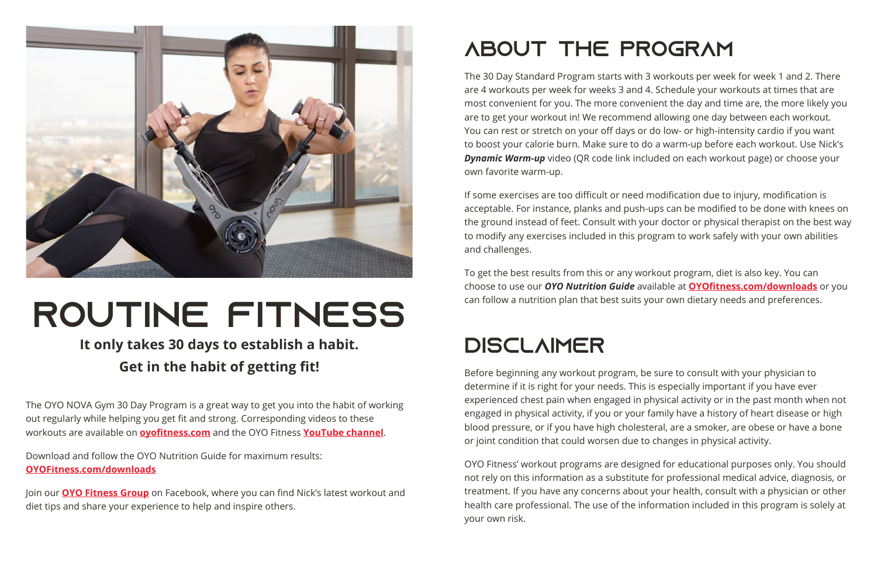

# ROUTINE FITNESS

### **It only takes 30 days to establish a habit. Get in the habit of getting fit!**

The OYO NOVA Gym 30 Day Program is a great way to get you into the habit of working out regularly while helping you get fit and strong. Corresponding videos to these workouts are available on **oyofitness.com** and the OYO Fitness **[YouTube channel](https://www.youtube.com/channel/UCm-oO0Q4vx-Gm0aAm2ZFaCg/playlists)**.

Download and follow the OYO Nutrition Guide for maximum results: **[OYOFitness.com/downloads](https://www.OYOFitness.com/downloads)**

Join our **OYO Fitness Group** on Facebook, where you can find Nick's latest workout and diet tips and share your experience to help and inspire others.

# ABOUT THE PROGRAM

The 30 Day Standard Program starts with 3 workouts per week for week 1 and 2. There are 4 workouts per week for weeks 3 and 4. Schedule your workouts at times that are most convenient for you. The more convenient the day and time are, the more likely you are to get your workout in! We recommend allowing one day between each workout. You can rest or stretch on your off days or do low- or high-intensity cardio if you want to boost your calorie burn. Make sure to do a warm-up before each workout. Use Nick's *Dynamic Warm-up* video (QR code link included on each workout page) or choose your own favorite warm-up.

If some exercises are too difficult or need modification due to injury, modification is acceptable. For instance, planks and push-ups can be modified to be done with knees on the ground instead of feet. Consult with your doctor or physical therapist on the best way to modify any exercises included in this program to work safely with your own abilities and challenges.

To get the best results from this or any workout program, diet is also key. You can choose to use our *OYO Nutrition Guide* available at **[OYOfitness.com/downloads](https://www.OYOfitness.com/downloads)** or you can follow a nutrition plan that best suits your own dietary needs and preferences.

# **DISCLAIMER**

Before beginning any workout program, be sure to consult with your physician to determine if it is right for your needs. This is especially important if you have ever experienced chest pain when engaged in physical activity or in the past month when not engaged in physical activity, if you or your family have a history of heart disease or high blood pressure, or if you have high cholesteral, are a smoker, are obese or have a bone or joint condition that could worsen due to changes in physical activity.

OYO Fitness' workout programs are designed for educational purposes only. You should not rely on this information as a substitute for professional medical advice, diagnosis, or treatment. If you have any concerns about your health, consult with a physician or other health care professional. The use of the information included in this program is solely at your own risk.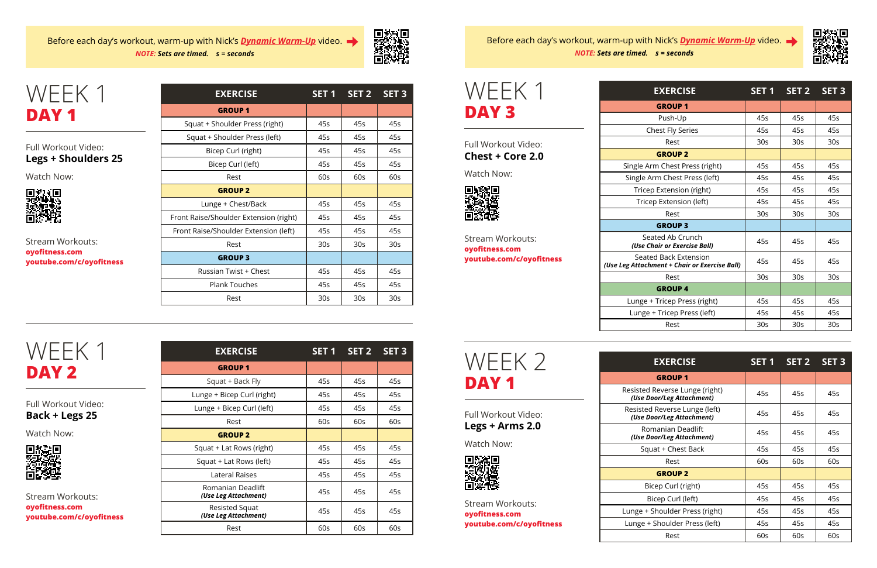| <b>EXERCISE</b>                        | SET <sub>1</sub> | SET <sub>2</sub> | SET <sub>3</sub> |
|----------------------------------------|------------------|------------------|------------------|
| <b>GROUP 1</b>                         |                  |                  |                  |
| Squat + Shoulder Press (right)         | 45s              | 45s              | 45s              |
| Squat + Shoulder Press (left)          | 45s              | 45s              | 45s              |
| Bicep Curl (right)                     | 45s              | 45s              | 45s              |
| Bicep Curl (left)                      | 45s              | 45s              | 45s              |
| Rest                                   | 60s              | 60s              | 60s              |
| <b>GROUP 2</b>                         |                  |                  |                  |
| Lunge + Chest/Back                     | 45s              | 45s              | 45s              |
| Front Raise/Shoulder Extension (right) | 45s              | 45s              | 45s              |
| Front Raise/Shoulder Extension (left)  | 45s              | 45s              | 45s              |
| Rest                                   | 30 <sub>S</sub>  | 30 <sub>S</sub>  | 30 <sub>S</sub>  |
| <b>GROUP 3</b>                         |                  |                  |                  |
| Russian Twist + Chest                  | 45s              | 45s              | 45s              |
| <b>Plank Touches</b>                   | 45s              | 45s              | 45s              |
| Rest                                   | 30 <sub>S</sub>  | 30 <sub>S</sub>  | 30 <sub>S</sub>  |

| WEEK 1           |  |
|------------------|--|
| DAY <sub>1</sub> |  |

#### Full Workout Video: **Legs + Shoulders 25**

Watch Now:



Stream Workouts: **oyofitness.com youtube.com/c/oyofitness**

| <b>EXERCISE</b>                           | SET <sub>1</sub> | SET <sub>2</sub> | SET <sub>3</sub> |
|-------------------------------------------|------------------|------------------|------------------|
| <b>GROUP 1</b>                            |                  |                  |                  |
| Squat + Back Fly                          | 45s              | 45s              | 45s              |
| Lunge + Bicep Curl (right)                | 45s              | 45s              | 45s              |
| Lunge + Bicep Curl (left)                 | 45s              | 45s              | 45s              |
| Rest                                      | 60s              | 60s              | 60s              |
| <b>GROUP 2</b>                            |                  |                  |                  |
| Squat + Lat Rows (right)                  | 45s              | 45s              | 45s              |
| Squat + Lat Rows (left)                   | 45s              | 45s              | 45s              |
| Lateral Raises                            | 45s              | 45s              | 45s              |
| Romanian Deadlift<br>(Use Leg Attachment) | 45s              | 45s              | 45s              |
| Resisted Squat<br>(Use Leg Attachment)    | 45s              | 45s              | 45s              |
| Rest                                      | 60s              | 60s              | 60s              |

Before each day's workout, warm-up with Nick's *[Dynamic Warm-Up](https://youtu.be/FEum6cdQvWU)* video. *NOTE: Sets are timed. s = seconds*



WEEK 1 **DAY 2**

Full Workout Video: **Back + Legs 25**

Watch Now:



Stream Workouts: **oyofitness.com youtube.com/c/oyofitness**



| <b>EXERCISE</b>                                                         | SET 1           | SET 2           | SET <sub>3</sub> |
|-------------------------------------------------------------------------|-----------------|-----------------|------------------|
| <b>GROUP1</b>                                                           |                 |                 |                  |
| Push-Up                                                                 | 45s             | 45s             | 45s              |
| Chest Fly Series                                                        | 45s             | 45s             | 45s              |
| Rest                                                                    | 30 <sub>S</sub> | 30 <sub>S</sub> | 30 <sub>S</sub>  |
| <b>GROUP 2</b>                                                          |                 |                 |                  |
| Single Arm Chest Press (right)                                          | 45s             | 45s             | 45s              |
| Single Arm Chest Press (left)                                           | 45s             | 45s             | 45s              |
| Tricep Extension (right)                                                | 45s             | 45s             | 45s              |
| Tricep Extension (left)                                                 | 45s             | 45s             | 45s              |
| Rest                                                                    | 30 <sub>S</sub> | 30 <sub>S</sub> | 30 <sub>S</sub>  |
| <b>GROUP 3</b>                                                          |                 |                 |                  |
| Seated Ab Crunch<br>(Use Chair or Exercise Ball)                        | 45s             | 45s             | 45s              |
| <b>Seated Back Extension</b><br>eg Attachment + Chair or Exercise Ball) | 45s             | 45s             | 45s              |
| Rest                                                                    | 30 <sub>S</sub> | 30 <sub>S</sub> | 30 <sub>s</sub>  |
| <b>GROUP4</b>                                                           |                 |                 |                  |
| Lunge + Tricep Press (right)                                            | 45s             | 45s             | 45s              |
| Lunge + Tricep Press (left)                                             | 45s             | 45s             | 45s              |
| Rest                                                                    | 30s             | 30s             | 30s              |

| WFFK 1 |  |
|--------|--|
| DAY 3  |  |

Full Workout Video: **Chest + Core 2.0**

Watch Now:



Stream Workouts: **oyofitness.com youtube.com/c/oyofitness**

Sea *(Use Leg Attachment Ball)* 

| וטווגר בוונגף ברכשי ווכונן                                  | ᠇┘┘              | ᠇ᡂ               | ᠇ᢣ               |
|-------------------------------------------------------------|------------------|------------------|------------------|
| Rest                                                        | 30 <sub>S</sub>  | 30 <sub>S</sub>  | 30 <sub>S</sub>  |
|                                                             |                  |                  |                  |
|                                                             |                  |                  |                  |
| <b>EXERCISE</b>                                             | SET <sub>1</sub> | SET <sub>2</sub> | SET <sub>3</sub> |
| <b>GROUP1</b>                                               |                  |                  |                  |
| Resisted Reverse Lunge (right)<br>(Use Door/Leg Attachment) | 45s              | 45s              | 45s              |
| Resisted Reverse Lunge (left)<br>(Use Door/Leg Attachment)  | 45s              | 45s              | 45s              |
| Romanian Deadlift<br>(Use Door/Leg Attachment)              | 45s              | 45s              | 45s              |
| Squat + Chest Back                                          | 45s              | 45s              | 45s              |
| Rest                                                        | 60s              | 60s              | 60s              |
| <b>GROUP 2</b>                                              |                  |                  |                  |
| Bicep Curl (right)                                          | 45s              | 45s              | 45s              |
| Bicep Curl (left)                                           | 45s              | 45s              | 45s              |
| Lunge + Shoulder Press (right)                              | 45s              | 45s              | 45s              |
| Lunge + Shoulder Press (left)                               | 45s              | 45s              | 45s              |
| Rest                                                        | 60s              | 60s              | 60s              |



Full Workout Video: **Legs + Arms 2.0**

Watch Now:



Stream Workouts: **oyofitness.com youtube.com/c/oyofitness**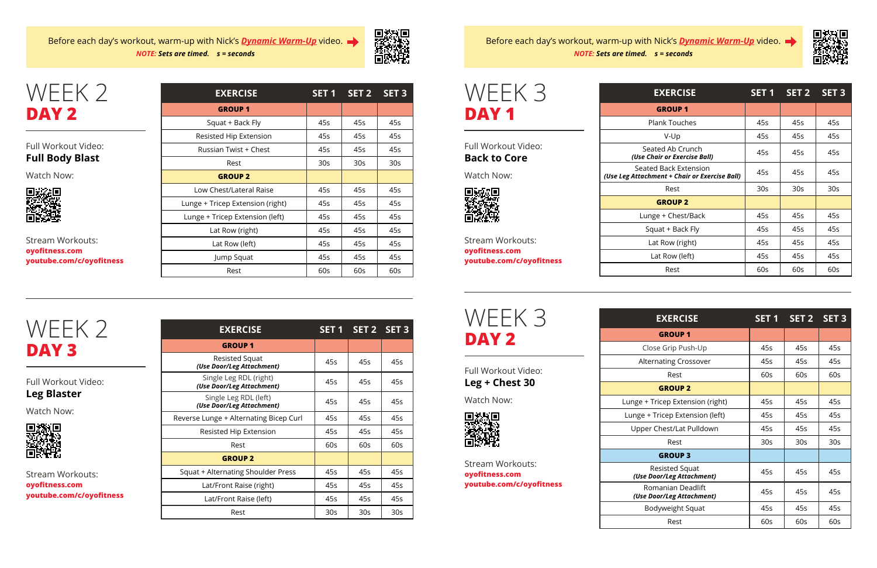| <b>EXERCISE</b>                  | SET <sub>1</sub> | SET <sub>2</sub> | SET <sub>3</sub> |
|----------------------------------|------------------|------------------|------------------|
| <b>GROUP 1</b>                   |                  |                  |                  |
| Squat + Back Fly                 | 45s              | 45s              | 45s              |
| Resisted Hip Extension           | 45s              | 45s              | 45s              |
| Russian Twist + Chest            | 45s              | 45s              | 45s              |
| Rest                             | 30s              | 30 <sub>S</sub>  | 30 <sub>S</sub>  |
| <b>GROUP 2</b>                   |                  |                  |                  |
| Low Chest/Lateral Raise          | 45s              | 45s              | 45s              |
| Lunge + Tricep Extension (right) | 45s              | 45s              | 45s              |
| Lunge + Tricep Extension (left)  | 45s              | 45s              | 45s              |
| Lat Row (right)                  | 45s              | 45s              | 45s              |
| Lat Row (left)                   | 45s              | 45s              | 45s              |
| Jump Squat                       | 45s              | 45s              | 45s              |
| Rest                             | 60s              | 60s              | 60s              |

WEEK 2 **DAY 2**

#### Full Workout Video: **Full Body Blast**

Watch Now:



Stream Workouts: **oyofitness.com youtube.com/c/oyofitness**

| <b>EXERCISE</b>                                     |                 | SET 1 SET 2 SET 3 |                 |
|-----------------------------------------------------|-----------------|-------------------|-----------------|
| <b>GROUP1</b>                                       |                 |                   |                 |
| Resisted Squat<br>(Use Door/Leg Attachment)         | 45s             | 45s               | 45s             |
| Single Leg RDL (right)<br>(Use Door/Leg Attachment) | 45s             | 45s               | 45s             |
| Single Leg RDL (left)<br>(Use Door/Leg Attachment)  | 45s             | 45s               | 45s             |
| Reverse Lunge + Alternating Bicep Curl              | 45s             | 45s               | 45s             |
| Resisted Hip Extension                              | 45s             | 45s               | 45s             |
| Rest                                                | 60s             | 60s               | 60s             |
| <b>GROUP 2</b>                                      |                 |                   |                 |
| Squat + Alternating Shoulder Press                  | 45s             | 45s               | 45s             |
| Lat/Front Raise (right)                             | 45s             | 45s               | 45s             |
| Lat/Front Raise (left)                              | 45s             | 45s               | 45s             |
| Rest                                                | 30 <sub>S</sub> | 30 <sub>S</sub>   | 30 <sub>S</sub> |

### WEEK 2 **DAY 3**

Full Workout Video: **Leg Blaster**

Watch Now:



Stream Workouts: **oyofitness.com youtube.com/c/oyofitness**

Before each day's workout, warm-up with Nick's *[Dynamic Warm-Up](https://youtu.be/FEum6cdQvWU)* video. *NOTE: Sets are timed. s = seconds*



WEEK 3

**DAY 1**

Full Workout Video: **Back to Core**

Watch Now:

回转矩回

Stream Workouts: **oyofitness.com**

**youtube.com/c/oyofitness**

| <b>EXERCISE</b>                                | SET 1 | SET 2 SET 3 |     |
|------------------------------------------------|-------|-------------|-----|
| <b>GROUP1</b>                                  |       |             |     |
| Close Grip Push-Up                             | 45s   | 45s         | 45s |
| <b>Alternating Crossover</b>                   | 45s   | 45s         | 45s |
| Rest                                           | 60s   | 60s         | 60s |
| <b>GROUP 2</b>                                 |       |             |     |
| Lunge + Tricep Extension (right)               | 45s   | 45s         | 45s |
| Lunge + Tricep Extension (left)                | 45s   | 45s         | 45s |
| Upper Chest/Lat Pulldown                       | 45s   | 45s         | 45s |
| Rest                                           | 30s   | 30s         | 30s |
| <b>GROUP 3</b>                                 |       |             |     |
| Resisted Squat<br>(Use Door/Leg Attachment)    | 45s   | 45s         | 45s |
| Romanian Deadlift<br>(Use Door/Leg Attachment) | 45s   | 45s         | 45s |
| Bodyweight Squat                               | 45s   | 45s         | 45s |
| Rest                                           | 60s   | 60s         | 60s |



WEEK 3 **DAY 2**

Full Workout Video: **Leg + Chest 30**

Watch Now:



Stream Workouts: **oyofitness.com youtube.com/c/oyofitness**

| <b>EXERCISE</b>                                                        | SET 1           | SET 2           | SET <sub>3</sub> |
|------------------------------------------------------------------------|-----------------|-----------------|------------------|
| <b>GROUP1</b>                                                          |                 |                 |                  |
| <b>Plank Touches</b>                                                   | 45s             | 45s             | 45s              |
| V-Up                                                                   | 45s             | 45s             | 45s              |
| Seated Ab Crunch<br>(Use Chair or Exercise Ball)                       | 45s             | 45s             | 45s              |
| Seated Back Extension<br>(Use Leg Attachment + Chair or Exercise Ball) | 45s             | 45s             | 45s              |
| Rest                                                                   | 30 <sub>S</sub> | 30 <sub>S</sub> | 30 <sub>S</sub>  |
| <b>GROUP 2</b>                                                         |                 |                 |                  |
| Lunge + Chest/Back                                                     | 45s             | 45s             | 45s              |
| Squat + Back Fly                                                       | 45s             | 45s             | 45s              |
| Lat Row (right)                                                        | 45s             | 45s             | 45s              |
| Lat Row (left)                                                         | 45s             | 45s             | 45s              |
| Rest                                                                   | 60s             | 60s             | 60s              |

Before each day's workout, warm-up with Nick's *[Dynamic Warm-Up](https://youtu.be/FEum6cdQvWU)* video. *NOTE: Sets are timed. s = seconds*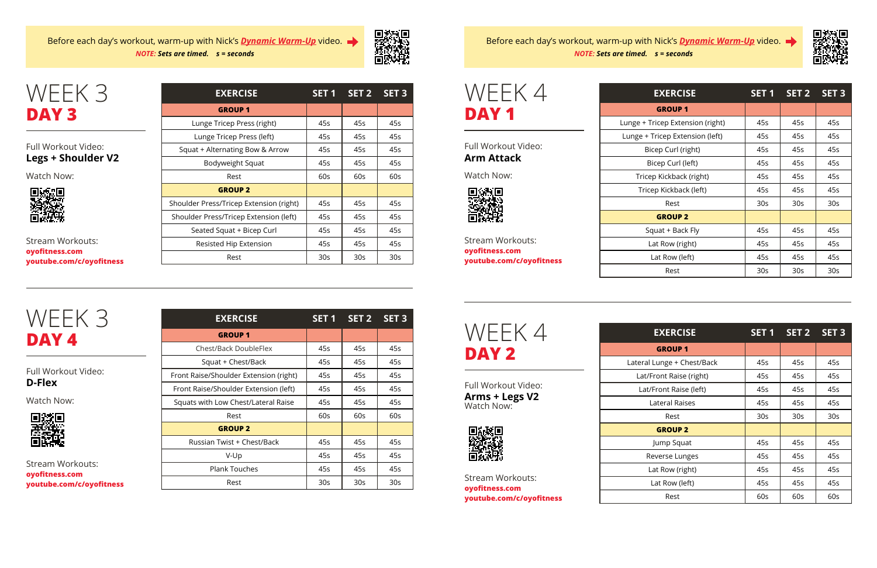| <b>EXERCISE</b>                         | SET <sub>1</sub> | SET <sub>2</sub> | SET <sub>3</sub> |
|-----------------------------------------|------------------|------------------|------------------|
| <b>GROUP1</b>                           |                  |                  |                  |
| Lunge Tricep Press (right)              | 45s              | 45s              | 45s              |
| Lunge Tricep Press (left)               | 45s              | 45s              | 45s              |
| Squat + Alternating Bow & Arrow         | 45s              | 45s              | 45s              |
| Bodyweight Squat                        | 45s              | 45s              | 45s              |
| Rest                                    | 60s              | 60s              | 60s              |
| <b>GROUP 2</b>                          |                  |                  |                  |
| Shoulder Press/Tricep Extension (right) | 45s              | 45s              | 45s              |
| Shoulder Press/Tricep Extension (left)  | 45s              | 45s              | 45s              |
| Seated Squat + Bicep Curl               | 45s              | 45s              | 45s              |
| Resisted Hip Extension                  | 45s              | 45s              | 45s              |
| Rest                                    | 30s              | 30s              | 30s              |

# WEEK 3 **DAY 3**

#### Full Workout Video: **Legs + Shoulder V2**

Watch Now:



Stream Workouts: **oyofitness.com youtube.com/c/oyofitness**

| <b>EXERCISE</b>                        | <b>SET 1</b> | SET <sub>2</sub> | SET <sub>3</sub> |
|----------------------------------------|--------------|------------------|------------------|
| <b>GROUP1</b>                          |              |                  |                  |
| Chest/Back DoubleFlex                  | 45s          | 45s              | 45s              |
| Squat + Chest/Back                     | 45s          | 45s              | 45s              |
| Front Raise/Shoulder Extension (right) | 45s          | 45s              | 45s              |
| Front Raise/Shoulder Extension (left)  | 45s          | 45s              | 45s              |
| Squats with Low Chest/Lateral Raise    | 45s          | 45s              | 45s              |
| Rest                                   | 60s          | 60s              | 60s              |
| <b>GROUP 2</b>                         |              |                  |                  |
| Russian Twist + Chest/Back             | 45s          | 45s              | 45s              |
| V-Up                                   | 45s          | 45s              | 45s              |
| <b>Plank Touches</b>                   | 45s          | 45s              | 45s              |
| Rest                                   | 30s          | 30s              | 30s              |

## WEEK 3 **DAY 4**

Full Workout Video: **D-Flex**

Watch Now:



Stream Workouts: **oyofitness.com youtube.com/c/oyofitness**

Before each day's workout, warm-up with Nick's *[Dynamic Warm-Up](https://youtu.be/FEum6cdQvWU)* video. *NOTE: Sets are timed. s = seconds*



| <b>EXERCISE</b>                  | SET <sub>1</sub> | SET <sub>2</sub> | <b>SET 3</b>    |
|----------------------------------|------------------|------------------|-----------------|
| <b>GROUP1</b>                    |                  |                  |                 |
| Lunge + Tricep Extension (right) | 45s              | 45s              | 45s             |
| Lunge + Tricep Extension (left)  | 45s              | 45s              | 45s             |
| Bicep Curl (right)               | 45s              | 45s              | 45s             |
| Bicep Curl (left)                | 45s              | 45s              | 45s             |
| Tricep Kickback (right)          | 45s              | 45s              | 45s             |
| Tricep Kickback (left)           | 45s              | 45s              | 45s             |
| Rest                             | 30 <sub>S</sub>  | 30 <sub>S</sub>  | 30 <sub>S</sub> |
| <b>GROUP 2</b>                   |                  |                  |                 |
| Squat + Back Fly                 | 45s              | 45s              | 45s             |
| Lat Row (right)                  | 45s              | 45s              | 45s             |
| Lat Row (left)                   | 45s              | 45s              | 45s             |
| Rest                             | 30 <sub>S</sub>  | 30 <sub>S</sub>  | 30 <sub>S</sub> |

| WFFK 4<br>DAY 1 |
|-----------------|
|                 |

Full Workout Video: **Arm Attack**

Watch Now:



Stream Workouts: **oyofitness.com youtube.com/c/oyofitness**

| <b>EXERCISE</b>            | SET <sub>1</sub> | SET 2           | SET <sub>3</sub> |
|----------------------------|------------------|-----------------|------------------|
| <b>GROUP1</b>              |                  |                 |                  |
| Lateral Lunge + Chest/Back | 45s              | 45s             | 45s              |
| Lat/Front Raise (right)    | 45s              | 45s             | 45s              |
| Lat/Front Raise (left)     | 45s              | 45s             | 45s              |
| Lateral Raises             | 45s              | 45s             | 45s              |
| Rest                       | 30 <sub>S</sub>  | 30 <sub>S</sub> | 30 <sub>S</sub>  |
| <b>GROUP 2</b>             |                  |                 |                  |
| Jump Squat                 | 45s              | 45s             | 45s              |
| Reverse Lunges             | 45s              | 45s             | 45s              |
| Lat Row (right)            | 45s              | 45s             | 45s              |
| Lat Row (left)             | 45s              | 45s             | 45s              |
| Rest                       | 60s              | 60s             | 60s              |



Full Workout Video: **Arms + Legs V2** Watch Now:



Stream Workouts: **oyofitness.com youtube.com/c/oyofitness**